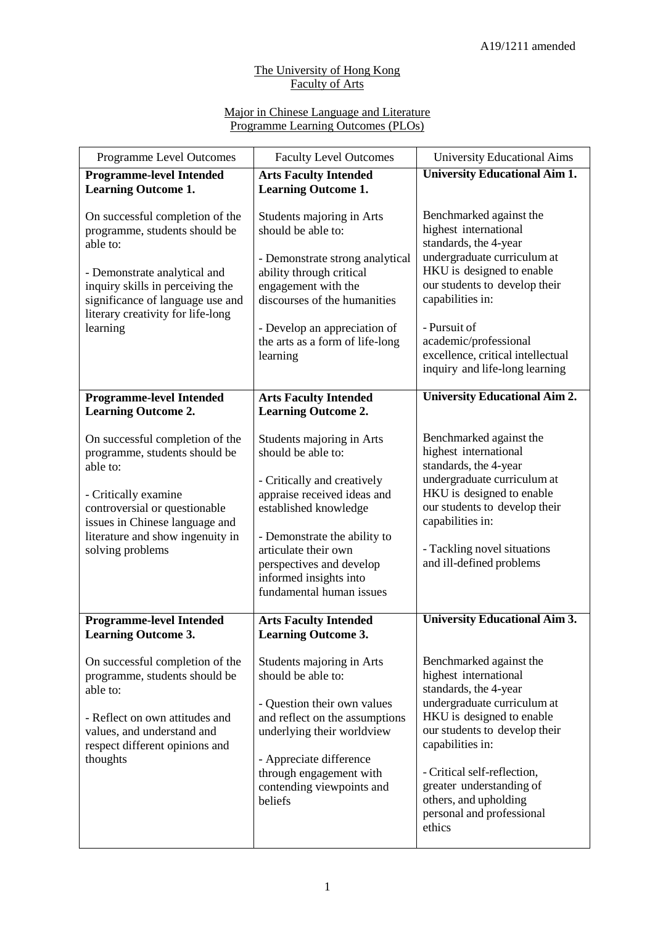## The University of Hong Kong Faculty of Arts

## Major in Chinese Language and Literature Programme Learning Outcomes (PLOs)

| <b>Programme Level Outcomes</b>                                                                                                                                                                                                 | <b>Faculty Level Outcomes</b>                                                                                                                                                                                                                                                    | <b>University Educational Aims</b>                                                                                                                                                                                                                                                                                    |
|---------------------------------------------------------------------------------------------------------------------------------------------------------------------------------------------------------------------------------|----------------------------------------------------------------------------------------------------------------------------------------------------------------------------------------------------------------------------------------------------------------------------------|-----------------------------------------------------------------------------------------------------------------------------------------------------------------------------------------------------------------------------------------------------------------------------------------------------------------------|
| <b>Programme-level Intended</b><br><b>Learning Outcome 1.</b>                                                                                                                                                                   | <b>Arts Faculty Intended</b><br><b>Learning Outcome 1.</b>                                                                                                                                                                                                                       | <b>University Educational Aim 1.</b>                                                                                                                                                                                                                                                                                  |
| On successful completion of the<br>programme, students should be<br>able to:                                                                                                                                                    | Students majoring in Arts<br>should be able to:                                                                                                                                                                                                                                  | Benchmarked against the<br>highest international<br>standards, the 4-year                                                                                                                                                                                                                                             |
| - Demonstrate analytical and<br>inquiry skills in perceiving the<br>significance of language use and                                                                                                                            | - Demonstrate strong analytical<br>ability through critical<br>engagement with the<br>discourses of the humanities                                                                                                                                                               | undergraduate curriculum at<br>HKU is designed to enable<br>our students to develop their<br>capabilities in:                                                                                                                                                                                                         |
| literary creativity for life-long<br>learning                                                                                                                                                                                   | - Develop an appreciation of<br>the arts as a form of life-long<br>learning                                                                                                                                                                                                      | - Pursuit of<br>academic/professional<br>excellence, critical intellectual<br>inquiry and life-long learning                                                                                                                                                                                                          |
| <b>Programme-level Intended</b><br><b>Learning Outcome 2.</b>                                                                                                                                                                   | <b>Arts Faculty Intended</b><br><b>Learning Outcome 2.</b>                                                                                                                                                                                                                       | <b>University Educational Aim 2.</b>                                                                                                                                                                                                                                                                                  |
| On successful completion of the<br>programme, students should be<br>able to:<br>- Critically examine<br>controversial or questionable<br>issues in Chinese language and<br>literature and show ingenuity in<br>solving problems | Students majoring in Arts<br>should be able to:<br>- Critically and creatively<br>appraise received ideas and<br>established knowledge<br>- Demonstrate the ability to<br>articulate their own<br>perspectives and develop<br>informed insights into<br>fundamental human issues | Benchmarked against the<br>highest international<br>standards, the 4-year<br>undergraduate curriculum at<br>HKU is designed to enable<br>our students to develop their<br>capabilities in:<br>- Tackling novel situations<br>and ill-defined problems                                                                 |
| <b>Programme-level Intended</b><br><b>Learning Outcome 3.</b>                                                                                                                                                                   | <b>Arts Faculty Intended</b><br><b>Learning Outcome 3.</b>                                                                                                                                                                                                                       | <b>University Educational Aim 3.</b>                                                                                                                                                                                                                                                                                  |
| On successful completion of the<br>programme, students should be<br>able to:<br>- Reflect on own attitudes and<br>values, and understand and<br>respect different opinions and<br>thoughts                                      | Students majoring in Arts<br>should be able to:<br>- Question their own values<br>and reflect on the assumptions<br>underlying their worldview<br>- Appreciate difference<br>through engagement with<br>contending viewpoints and<br>beliefs                                     | Benchmarked against the<br>highest international<br>standards, the 4-year<br>undergraduate curriculum at<br>HKU is designed to enable<br>our students to develop their<br>capabilities in:<br>- Critical self-reflection,<br>greater understanding of<br>others, and upholding<br>personal and professional<br>ethics |